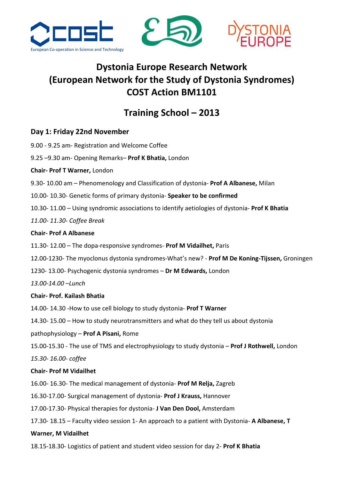





# Dystonia Europe Research Network (European Network for the Study of Dystonia Syndromes) COST Action BM1101

## Training School – 2013

## Day 1: Friday 22nd November

- 9.00 9.25 am- Registration and Welcome Coffee
- 9.25 –9.30 am- Opening Remarks– Prof K Bhatia, London
- Chair- Prof T Warner, London
- 9.30-10.00 am Phenomenology and Classification of dystonia- Prof A Albanese, Milan
- 10.00- 10.30- Genetic forms of primary dystonia- Speaker to be confirmed
- 10.30- 11.00 Using syndromic associations to identify aetiologies of dystonia- Prof K Bhatia
- 11.00- 11.30- Coffee Break

## Chair- Prof A Albanese

- 11.30- 12.00 The dopa-responsive syndromes- Prof M Vidailhet, Paris
- 12.00-1230- The myoclonus dystonia syndromes-What's new? Prof M De Koning-Tijssen, Groningen
- 1230- 13.00- Psychogenic dystonia syndromes Dr M Edwards, London

13.00-14.00 –Lunch

## Chair- Prof. Kailash Bhatia

14.00- 14.30 -How to use cell biology to study dystonia- Prof T Warner

14.30- 15.00 – How to study neurotransmitters and what do they tell us about dystonia

pathophysiology – Prof A Pisani, Rome

15.00-15.30 - The use of TMS and electrophysiology to study dystonia - Prof J Rothwell, London 15.30- 16.00- coffee

## Chair- Prof M Vidailhet

16.00- 16.30- The medical management of dystonia- Prof M Relja, Zagreb

16.30-17.00- Surgical management of dystonia- Prof J Krauss, Hannover

17.00-17.30- Physical therapies for dystonia- J Van Den Dool, Amsterdam

17.30- 18.15 – Faculty video session 1- An approach to a patient with Dystonia- A Albanese, T

## Warner, M Vidailhet

18.15-18.30- Logistics of patient and student video session for day 2- Prof K Bhatia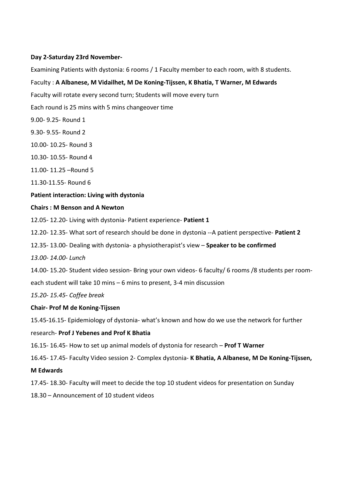#### Day 2-Saturday 23rd November-

Examining Patients with dystonia: 6 rooms / 1 Faculty member to each room, with 8 students.

### Faculty : A Albanese, M Vidailhet, M De Koning-Tijssen, K Bhatia, T Warner, M Edwards

Faculty will rotate every second turn; Students will move every turn

- Each round is 25 mins with 5 mins changeover time
- 9.00- 9.25- Round 1
- 9.30- 9.55- Round 2
- 10.00- 10.25- Round 3
- 10.30- 10.55- Round 4
- 11.00- 11.25 –Round 5
- 11.30-11.55- Round 6

#### Patient interaction: Living with dystonia

#### Chairs : M Benson and A Newton

- 12.05- 12.20- Living with dystonia- Patient experience- Patient 1
- 12.20- 12.35- What sort of research should be done in dystonia --A patient perspective- Patient 2
- 12.35- 13.00- Dealing with dystonia- a physiotherapist's view Speaker to be confirmed
- 13.00- 14.00- Lunch
- 14.00- 15.20- Student video session- Bring your own videos- 6 faculty/ 6 rooms /8 students per room-
- each student will take 10 mins 6 mins to present, 3-4 min discussion
- 15.20- 15.45- Coffee break

#### Chair- Prof M de Koning-Tijssen

15.45-16.15- Epidemiology of dystonia- what's known and how do we use the network for further

#### research- Prof J Yebenes and Prof K Bhatia

- 16.15- 16.45- How to set up animal models of dystonia for research Prof T Warner
- 16.45- 17.45- Faculty Video session 2- Complex dystonia- K Bhatia, A Albanese, M De Koning-Tijssen,

#### M Edwards

- 17.45- 18.30- Faculty will meet to decide the top 10 student videos for presentation on Sunday
- 18.30 Announcement of 10 student videos